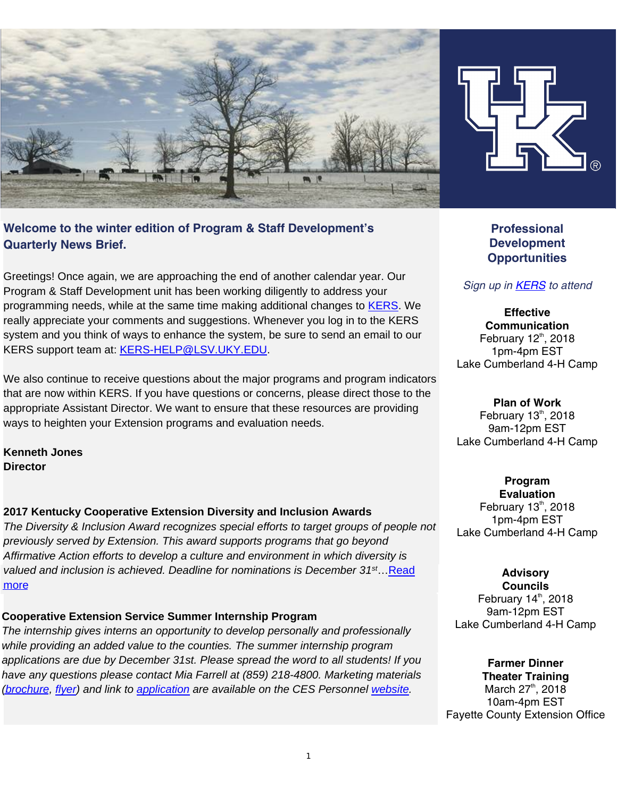



# **Welcome to the winter edition of Program & Staff Development's Quarterly News Brief.**

Greetings! Once again, we are approaching the end of another calendar year. Our Program & Staff Development unit has been working diligently to address your programming needs, while at the same time making additional changes to [KERS](https://kers.ca.uky.edu/core/login). We really appreciate your comments and suggestions. Whenever you log in to the KERS system and you think of ways to enhance the system, be sure to send an email to our KERS support team at: [KERS-HELP@LSV.UKY.EDU](mailto:KERS-HELP@LSV.UKY.EDU).

We also continue to receive questions about the major programs and program indicators that are now within KERS. If you have questions or concerns, please direct those to the appropriate Assistant Director. We want to ensure that these resources are providing ways to heighten your Extension programs and evaluation needs.

**Kenneth Jones Director** 

### **2017 Kentucky Cooperative Extension Diversity and Inclusion Awards**

*The Diversity & Inclusion Award recognizes special efforts to target groups of people not previously served by Extension. This award supports programs that go beyond Affirmative Action efforts to develop a culture and environment in which diversity is valued and inclusion is achieved. Deadline for nominations is December 31st*…[Read](https://psd.ca.uky.edu/sites/psd.ca.uky.edu/files/diversityinclusionnomination_form.pdf)  [more](https://psd.ca.uky.edu/sites/psd.ca.uky.edu/files/diversityinclusionnomination_form.pdf)

## **Cooperative Extension Service Summer Internship Program**

*The internship gives interns an opportunity to develop personally and professionally while providing an added value to the counties. The summer internship program applications are due by December 31st. Please spread the word to all students! If you have any questions please contact Mia Farrell at (859) 218-4800. Marketing materials [\(brochure,](http://ces-personnel.ca.uky.edu/files/ces_brochure_-_9-12-2017.pdf) [flyer\)](http://ces-personnel.ca.uky.edu/files/ces_flyer_-_2018.pdf) and link to [application](https://ukjobs.uky.edu/postings/162562) are available on the CES Personnel [website.](http://ces-personnel.ca.uky.edu/internships)* 

**Professional Development Opportunities** 

# *Sign up in [KERS](https://kers.ca.uky.edu/core/login) to attend*

**Effective Communication**  February  $12<sup>th</sup>$ , 2018 1pm-4pm EST Lake Cumberland 4-H Camp

**Plan of Work**  February  $13<sup>th</sup>$ , 2018 9am-12pm EST Lake Cumberland 4-H Camp

**Program Evaluation**  February  $13<sup>th</sup>$ , 2018 1pm-4pm EST Lake Cumberland 4-H Camp

### **Advisory**

**Councils**  February  $14<sup>th</sup>$ , 2018 9am-12pm EST Lake Cumberland 4-H Camp

**Farmer Dinner Theater Training**  March  $27^{\text{th}}$ , 2018 10am-4pm EST Fayette County Extension Office